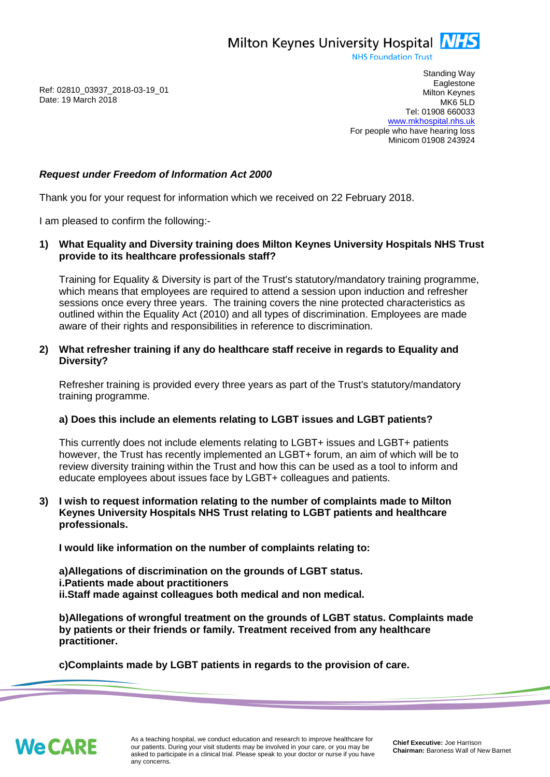Milton Keynes University Hospital **NHS** 

**NHS Foundation Trust** 

Ref: 02810\_03937\_2018-03-19\_01 Date: 19 March 2018

Standing Way **Eaglestone** Milton Keynes MK6 5LD Tel: 01908 660033 [www.mkhospital.nhs.uk](http://www.mkhospital.nhs.uk/) For people who have hearing loss Minicom 01908 243924

## *Request under Freedom of Information Act 2000*

Thank you for your request for information which we received on 22 February 2018.

I am pleased to confirm the following:-

**1) What Equality and Diversity training does Milton Keynes University Hospitals NHS Trust provide to its healthcare professionals staff?**

Training for Equality & Diversity is part of the Trust's statutory/mandatory training programme, which means that employees are required to attend a session upon induction and refresher sessions once every three years. The training covers the nine protected characteristics as outlined within the Equality Act (2010) and all types of discrimination. Employees are made aware of their rights and responsibilities in reference to discrimination.

## **2) What refresher training if any do healthcare staff receive in regards to Equality and Diversity?**

Refresher training is provided every three years as part of the Trust's statutory/mandatory training programme.

## **a) Does this include an elements relating to LGBT issues and LGBT patients?**

This currently does not include elements relating to LGBT+ issues and LGBT+ patients however, the Trust has recently implemented an LGBT+ forum, an aim of which will be to review diversity training within the Trust and how this can be used as a tool to inform and educate employees about issues face by LGBT+ colleagues and patients.

## **3) I wish to request information relating to the number of complaints made to Milton Keynes University Hospitals NHS Trust relating to LGBT patients and healthcare professionals.**

**I would like information on the number of complaints relating to:**

**a)Allegations of discrimination on the grounds of LGBT status. i.Patients made about practitioners ii.Staff made against colleagues both medical and non medical.** 

**b)Allegations of wrongful treatment on the grounds of LGBT status. Complaints made by patients or their friends or family. Treatment received from any healthcare practitioner.**

**c)Complaints made by LGBT patients in regards to the provision of care.**